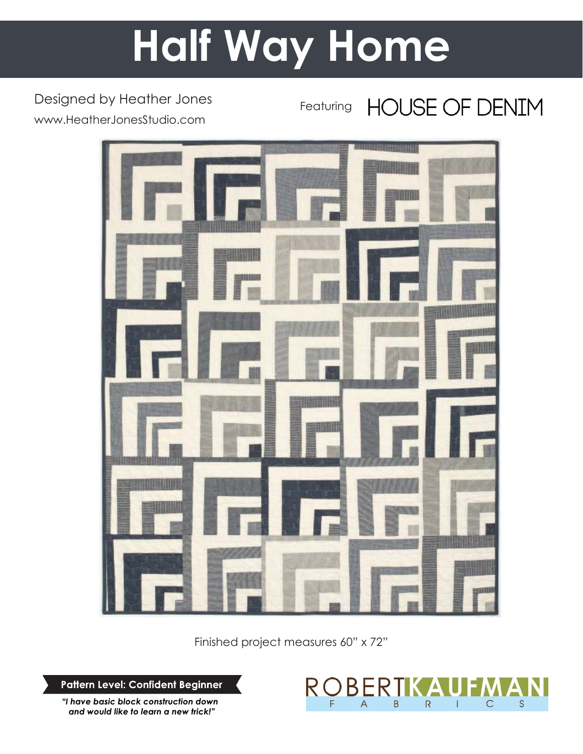# **Half Way Home**

Designed by Heather Jones www.HeatherJonesStudio.com

**HOUSE OF DENIM** Featuring



Finished project measures 60" x 72"

**Pattern Level: Confident Beginner**

*"I have basic block construction down and would like to learn a new trick!"*

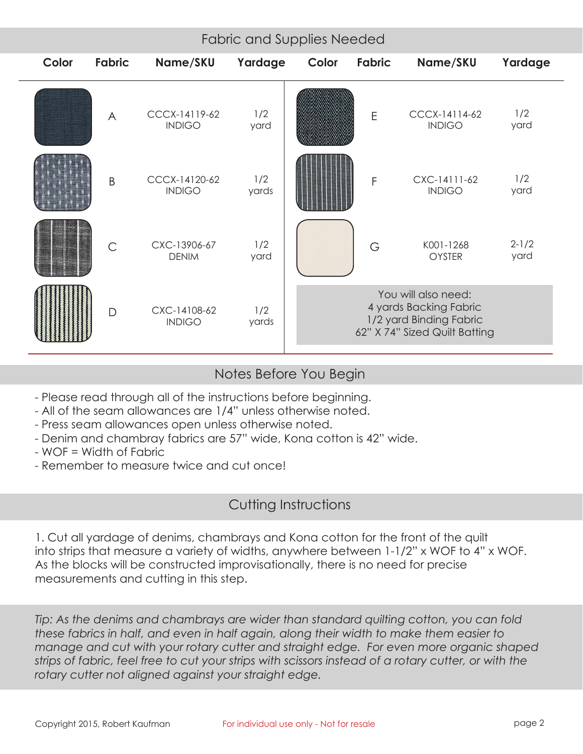| Color | Fabric         | Name/SKU                       | Yardage      | Color                                                                                                     | <b>Fabric</b> | Name/SKU                       | Yardage           |
|-------|----------------|--------------------------------|--------------|-----------------------------------------------------------------------------------------------------------|---------------|--------------------------------|-------------------|
|       | $\bigwedge$    | CCCX-14119-62<br><b>INDIGO</b> | 1/2<br>yard  |                                                                                                           | E             | CCCX-14114-62<br><b>INDIGO</b> | 1/2<br>yard       |
|       | B              | CCCX-14120-62<br><b>INDIGO</b> | 1/2<br>yards |                                                                                                           | F             | CXC-14111-62<br><b>INDIGO</b>  | 1/2<br>yard       |
|       | $\overline{C}$ | CXC-13906-67<br><b>DENIM</b>   | 1/2<br>yard  |                                                                                                           | G             | K001-1268<br>OYSTER            | $2 - 1/2$<br>yard |
|       | D              | CXC-14108-62<br><b>INDIGO</b>  | 1/2<br>yards | You will also need:<br>4 yards Backing Fabric<br>1/2 yard Binding Fabric<br>62" X 74" Sized Quilt Batting |               |                                |                   |

# Notes Before You Begin

- Please read through all of the instructions before beginning.
- All of the seam allowances are 1/4" unless otherwise noted.
- Press seam allowances open unless otherwise noted.
- Denim and chambray fabrics are 57" wide, Kona cotton is 42" wide.
- WOF = Width of Fabric
- Remember to measure twice and cut once!

# Cutting Instructions

1. Cut all yardage of denims, chambrays and Kona cotton for the front of the quilt into strips that measure a variety of widths, anywhere between 1-1/2" x WOF to 4" x WOF. As the blocks will be constructed improvisationally, there is no need for precise measurements and cutting in this step.

*Tip: As the denims and chambrays are wider than standard quilting cotton, you can fold these fabrics in half, and even in half again, along their width to make them easier to manage and cut with your rotary cutter and straight edge. For even more organic shaped strips of fabric, feel free to cut your strips with scissors instead of a rotary cutter, or with the rotary cutter not aligned against your straight edge.*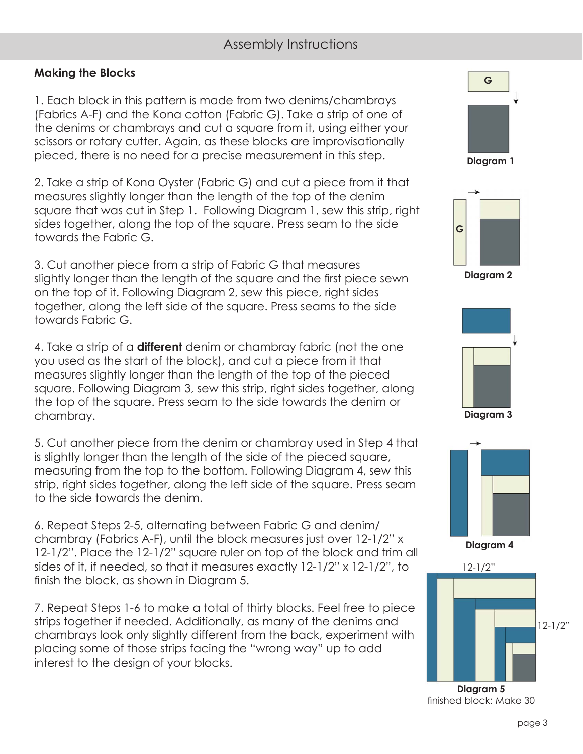# Assembly Instructions

#### **Making the Blocks**

1. Each block in this pattern is made from two denims/chambrays (Fabrics A-F) and the Kona cotton (Fabric G). Take a strip of one of the denims or chambrays and cut a square from it, using either your scissors or rotary cutter. Again, as these blocks are improvisationally pieced, there is no need for a precise measurement in this step.

2. Take a strip of Kona Oyster (Fabric G) and cut a piece from it that measures slightly longer than the length of the top of the denim square that was cut in Step 1. Following Diagram 1, sew this strip, right sides together, along the top of the square. Press seam to the side towards the Fabric G.

3. Cut another piece from a strip of Fabric G that measures slightly longer than the length of the square and the first piece sewn on the top of it. Following Diagram 2, sew this piece, right sides together, along the left side of the square. Press seams to the side towards Fabric G.

4. Take a strip of a **different** denim or chambray fabric (not the one you used as the start of the block), and cut a piece from it that measures slightly longer than the length of the top of the pieced square. Following Diagram 3, sew this strip, right sides together, along the top of the square. Press seam to the side towards the denim or chambray.

5. Cut another piece from the denim or chambray used in Step 4 that is slightly longer than the length of the side of the pieced square, measuring from the top to the bottom. Following Diagram 4, sew this strip, right sides together, along the left side of the square. Press seam to the side towards the denim.

6. Repeat Steps 2-5, alternating between Fabric G and denim/ chambray (Fabrics A-F), until the block measures just over 12-1/2" x 12-1/2". Place the 12-1/2" square ruler on top of the block and trim all sides of it, if needed, so that it measures exactly 12-1/2" x 12-1/2", to finish the block, as shown in Diagram 5.

7. Repeat Steps 1-6 to make a total of thirty blocks. Feel free to piece strips together if needed. Additionally, as many of the denims and chambrays look only slightly different from the back, experiment with placing some of those strips facing the "wrong way" up to add interest to the design of your blocks.











**Diagram 4**



finished block: Make 30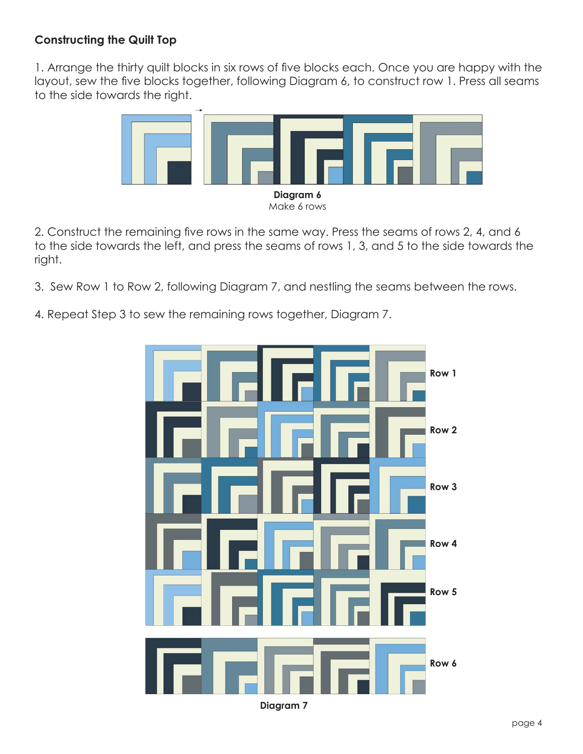### **Constructing the Quilt Top**

1. Arrange the thirty quilt blocks in six rows of five blocks each. Once you are happy with the layout, sew the five blocks together, following Diagram 6, to construct row 1. Press all seams to the side towards the right.



2. Construct the remaining five rows in the same way. Press the seams of rows 2, 4, and 6 to the side towards the left, and press the seams of rows 1, 3, and 5 to the side towards the right.

- 3. Sew Row 1 to Row 2, following Diagram 7, and nestling the seams between the rows.
- 4. Repeat Step 3 to sew the remaining rows together, Diagram 7.



**Diagram 7**